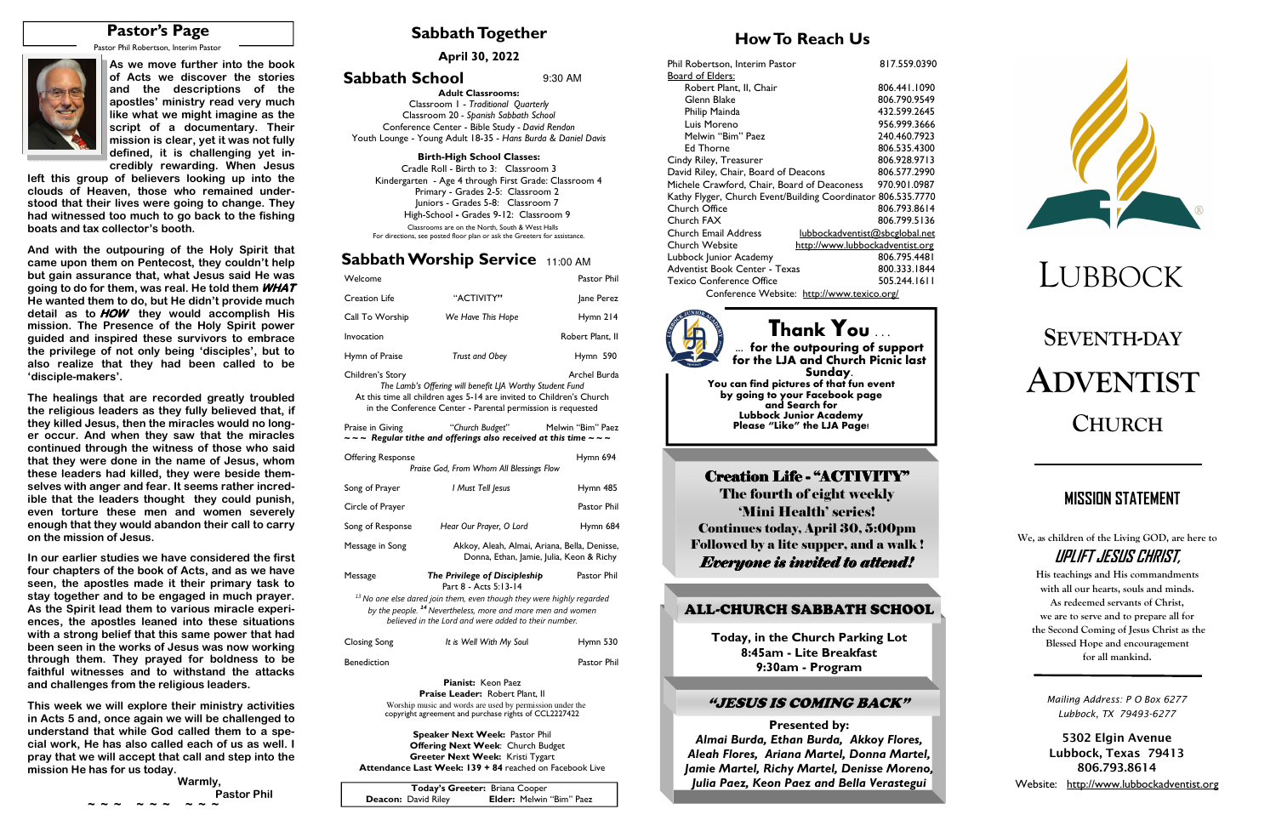# **SEVENTH-DAYADVENTISTCHURCH**

# **Sabbath Together**

# **How To Reach Us**

## **Sabbath Worship Service** 11:00 AM

**April 30, 2022** 

# LUBBOCK

| Welcome                                                                                                                                                                                                                             |                                                                                                              | Pastor Phil                              |  |  |  |  |  |
|-------------------------------------------------------------------------------------------------------------------------------------------------------------------------------------------------------------------------------------|--------------------------------------------------------------------------------------------------------------|------------------------------------------|--|--|--|--|--|
| <b>Creation Life</b>                                                                                                                                                                                                                | "ACTIVITY"                                                                                                   | Jane Perez                               |  |  |  |  |  |
| Call To Worship                                                                                                                                                                                                                     | We Have This Hope                                                                                            | Hymn 214                                 |  |  |  |  |  |
| Invocation                                                                                                                                                                                                                          |                                                                                                              | Robert Plant, II                         |  |  |  |  |  |
| Hymn of Praise                                                                                                                                                                                                                      | <b>Trust and Obey</b>                                                                                        | Hymn 590                                 |  |  |  |  |  |
| Archel Burda<br>Children's Story<br>The Lamb's Offering will benefit LJA Worthy Student Fund<br>At this time all children ages 5-14 are invited to Children's Church<br>in the Conference Center - Parental permission is requested |                                                                                                              |                                          |  |  |  |  |  |
| Praise in Giving                                                                                                                                                                                                                    | "Church Budget"<br>$\sim$ $\sim$ Regular tithe and offerings also received at this time $\sim$ $\sim$ $\sim$ | Melwin "Bim" Paez                        |  |  |  |  |  |
| <b>Offering Response</b>                                                                                                                                                                                                            | Praise God, From Whom All Blessings Flow                                                                     | Hymn 694                                 |  |  |  |  |  |
| Song of Prayer                                                                                                                                                                                                                      | I Must Tell Jesus                                                                                            | Hymn 485                                 |  |  |  |  |  |
| Circle of Prayer                                                                                                                                                                                                                    |                                                                                                              | Pastor Phil                              |  |  |  |  |  |
| Song of Response                                                                                                                                                                                                                    | Hear Our Prayer, O Lord                                                                                      | Hymn 684                                 |  |  |  |  |  |
| Message in Song                                                                                                                                                                                                                     | Akkoy, Aleah, Almai, Ariana, Bella, Denisse,                                                                 | Donna, Ethan, Jamie, Julia, Keon & Richy |  |  |  |  |  |
| Message                                                                                                                                                                                                                             | The Privilege of Discipleship<br>Part 8 - Acts 5:13-14                                                       | Pastor Phil                              |  |  |  |  |  |
| <sup>13</sup> No one else dared join them, even though they were highly regarded<br>by the people. <sup>14</sup> Nevertheless, more and more men and women<br>believed in the Lord and were added to their number.                  |                                                                                                              |                                          |  |  |  |  |  |
| <b>Closing Song</b>                                                                                                                                                                                                                 | It is Well With My Soul                                                                                      | Hymn 530                                 |  |  |  |  |  |
| <b>Benediction</b>                                                                                                                                                                                                                  |                                                                                                              | Pastor Phil                              |  |  |  |  |  |
|                                                                                                                                                                                                                                     |                                                                                                              |                                          |  |  |  |  |  |

**Pianist:** Keon Paez **Praise Leader:** Robert Plant, II Worship music and words are used by permission under the copyright agreement and purchase rights of CCL2227422

**Speaker Next Week:** Pastor Phil  **Offering Next Week**: Church Budget **Greeter Next Week:** Kristi Tygart **Attendance Last Week: 139 + 84** reached on Facebook Live **We, as children of the Living GOD, are here to UPLIFT JESUS CHRIST,** 

**His teachings and His commandments with all our hearts, souls and minds. As redeemed servants of Christ, we are to serve and to prepare all for the Second Coming of Jesus Christ as the Blessed Hope and encouragement for all mankind.** 

# **MISSION STATEMENT**

**Adult Classrooms:** Classroom 1 - *Traditional Quarterly*  Classroom 20 *- Spanish Sabbath School*  Conference Center - Bible Study *- David Rendon* Youth Lounge - Young Adult 18-35 - *Hans Burda & Daniel Davis*

### **Birth-High School Classes:**

 Cradle Roll - Birth to 3: Classroom 3 Kindergarten - Age 4 through First Grade: Classroom 4 Primary - Grades 2-5: Classroom 2 Juniors - Grades 5-8: Classroom 7 High-School **-** Grades 9-12: Classroom 9 Classrooms are on the North, South & West Halls For directions, see posted floor plan or ask the Greeters for assistance.

### **Sabbath School** 9:30 AM

| Today's Greeter: Briana Cooper |                                 |
|--------------------------------|---------------------------------|
| <b>Deacon:</b> David Riley     | <b>Elder:</b> Melwin "Bim" Paez |

# **Pastor's Page**

Pastor Phil Robertson, Interim Pastor



| Phil Robertson, Interim Pastor                                | 817.559.0390 |  |  |  |
|---------------------------------------------------------------|--------------|--|--|--|
| Board of Elders:                                              |              |  |  |  |
| Robert Plant, II, Chair                                       | 806.441.1090 |  |  |  |
| Glenn Blake                                                   | 806.790.9549 |  |  |  |
| Philip Mainda                                                 | 432.599.2645 |  |  |  |
| Luis Moreno                                                   | 956.999.3666 |  |  |  |
| Melwin "Bim" Paez                                             | 240.460.7923 |  |  |  |
| Ed Thorne                                                     | 806.535.4300 |  |  |  |
| Cindy Riley, Treasurer                                        | 806.928.9713 |  |  |  |
| David Riley, Chair, Board of Deacons                          | 806.577.2990 |  |  |  |
| Michele Crawford, Chair, Board of Deaconess                   | 970.901.0987 |  |  |  |
| Kathy Flyger, Church Event/Building Coordinator 806.535.7770  |              |  |  |  |
| Church Office                                                 | 806.793.8614 |  |  |  |
| Church FAX                                                    | 806.799.5136 |  |  |  |
| <b>Church Email Address</b><br>lubbockadventist@sbcglobal.net |              |  |  |  |
| Church Website<br>http://www.lubbockadventist.org             |              |  |  |  |
| Lubbock Junior Academy                                        | 806.795.4481 |  |  |  |
| Adventist Book Center - Texas                                 | 800.333.1844 |  |  |  |
| <b>Texico Conference Office</b>                               | 505.244.1611 |  |  |  |
| Conference Website: http://www.texico.org/                    |              |  |  |  |



**As we move further into the book of Acts we discover the stories and the descriptions of the apostles' ministry read very much like what we might imagine as the script of a documentary. Their mission is clear, yet it was not fully defined, it is challenging yet incredibly rewarding. When Jesus** 

 **left this group of believers looking up into the clouds of Heaven, those who remained understood that their lives were going to change. They had witnessed too much to go back to the fishing boats and tax collector's booth.** 

**And with the outpouring of the Holy Spirit that came upon them on Pentecost, they couldn't help but gain assurance that, what Jesus said He was going to do for them, was real. He told them WHAT He wanted them to do, but He didn't provide much detail as to HOW they would accomplish His mission. The Presence of the Holy Spirit power guided and inspired these survivors to embrace the privilege of not only being 'disciples', but to also realize that they had been called to be 'disciple-makers'.** 

|  |                      |  |                      | Warmly,              |                    |
|--|----------------------|--|----------------------|----------------------|--------------------|
|  |                      |  |                      |                      | <b>Pastor Phil</b> |
|  | $\sim$ $\sim$ $\sim$ |  | $\sim$ $\sim$ $\sim$ | $\sim$ $\sim$ $\sim$ |                    |

**The healings that are recorded greatly troubled the religious leaders as they fully believed that, if they killed Jesus, then the miracles would no longer occur. And when they saw that the miracles continued through the witness of those who said that they were done in the name of Jesus, whom these leaders had killed, they were beside themselves with anger and fear. It seems rather incredible that the leaders thought they could punish, even torture these men and women severely enough that they would abandon their call to carry on the mission of Jesus.** 

**In our earlier studies we have considered the first four chapters of the book of Acts, and as we have seen, the apostles made it their primary task to stay together and to be engaged in much prayer. As the Spirit lead them to various miracle experiences, the apostles leaned into these situations with a strong belief that this same power that had been seen in the works of Jesus was now working through them. They prayed for boldness to be faithful witnesses and to withstand the attacks and challenges from the religious leaders.** 

**This week we will explore their ministry activities in Acts 5 and, once again we will be challenged to understand that while God called them to a special work, He has also called each of us as well. I pray that we will accept that call and step into the mission He has for us today.** 

*Mailing Address: P O Box 6277 Lubbock, TX 79493-6277* 

**5302 Elgin Avenue Lubbock, Texas 79413 806.793.8614** 

Website: http://www.lubbockadventist.org

The fourth of eight weekly 'Mini Health' series! Continues today, April 30, 5:00pm Followed by a lite supper, and a walk ! *Everyone is invited to attend!*

# **Thank You . . .**

 **... for the outpouring of support for the LJA and Church Picnic last Sunday. You can find pictures of that fun event by going to your Facebook page and Search for Lubbock Junior Academy Please "Like" the LJA Page!** 

# Creation Life - "ACTIVITY"

**Today, in the Church Parking Lot 8:45am - Lite Breakfast 9:30am - Program** 

**Presented by:**  *Almai Burda, Ethan Burda, Akkoy Flores, Aleah Flores, Ariana Martel, Donna Martel, Jamie Martel, Richy Martel, Denisse Moreno, Julia Paez, Keon Paez and Bella Verastegui* 



### "JESUS IS COMING BACK"

### ALL-CHURCH SABBATH SCHOOL